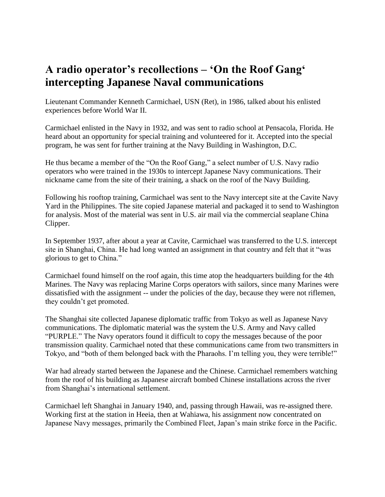## **A radio operator's recollections – 'On the Roof Gang' intercepting Japanese Naval communications**

Lieutenant Commander Kenneth Carmichael, USN (Ret), in 1986, talked about his enlisted experiences before World War II.

Carmichael enlisted in the Navy in 1932, and was sent to radio school at Pensacola, Florida. He heard about an opportunity for special training and volunteered for it. Accepted into the special program, he was sent for further training at the Navy Building in Washington, D.C.

He thus became a member of the "On the Roof Gang," a select number of U.S. Navy radio operators who were trained in the 1930s to intercept Japanese Navy communications. Their nickname came from the site of their training, a shack on the roof of the Navy Building.

Following his rooftop training, Carmichael was sent to the Navy intercept site at the Cavite Navy Yard in the Philippines. The site copied Japanese material and packaged it to send to Washington for analysis. Most of the material was sent in U.S. air mail via the commercial seaplane China Clipper.

In September 1937, after about a year at Cavite, Carmichael was transferred to the U.S. intercept site in Shanghai, China. He had long wanted an assignment in that country and felt that it "was glorious to get to China."

Carmichael found himself on the roof again, this time atop the headquarters building for the 4th Marines. The Navy was replacing Marine Corps operators with sailors, since many Marines were dissatisfied with the assignment -- under the policies of the day, because they were not riflemen, they couldn't get promoted.

The Shanghai site collected Japanese diplomatic traffic from Tokyo as well as Japanese Navy communications. The diplomatic material was the system the U.S. Army and Navy called "PURPLE." The Navy operators found it difficult to copy the messages because of the poor transmission quality. Carmichael noted that these communications came from two transmitters in Tokyo, and "both of them belonged back with the Pharaohs. I'm telling you, they were terrible!"

War had already started between the Japanese and the Chinese. Carmichael remembers watching from the roof of his building as Japanese aircraft bombed Chinese installations across the river from Shanghai's international settlement.

Carmichael left Shanghai in January 1940, and, passing through Hawaii, was re-assigned there. Working first at the station in Heeia, then at Wahiawa, his assignment now concentrated on Japanese Navy messages, primarily the Combined Fleet, Japan's main strike force in the Pacific.